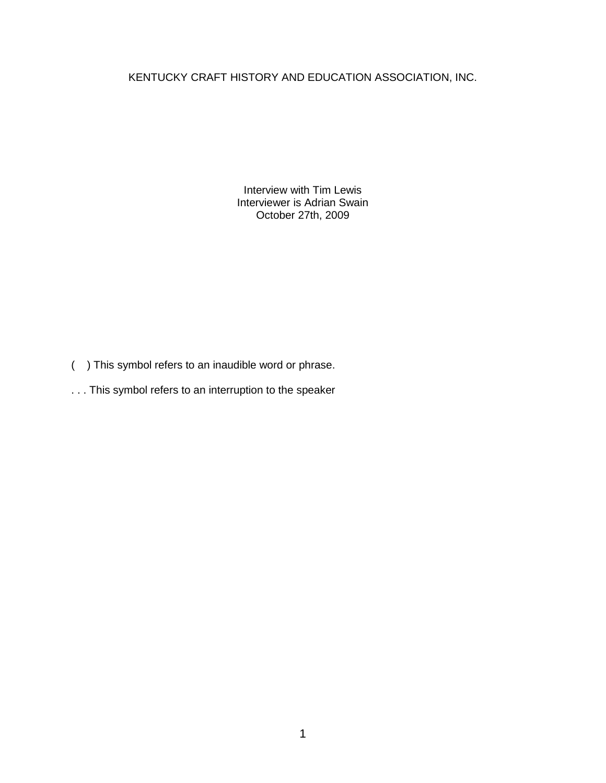## KENTUCKY CRAFT HISTORY AND EDUCATION ASSOCIATION, INC.

Interview with Tim Lewis Interviewer is Adrian Swain October 27th, 2009

- ( ) This symbol refers to an inaudible word or phrase.
- . . . This symbol refers to an interruption to the speaker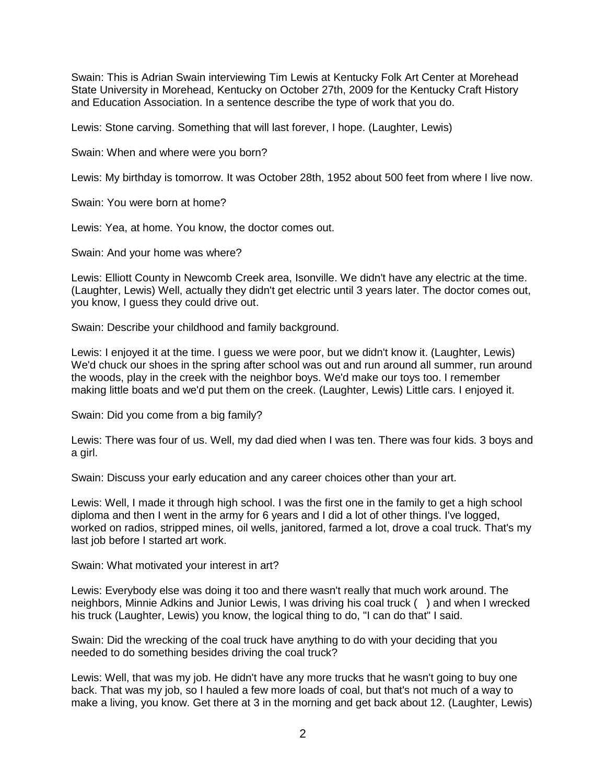Swain: This is Adrian Swain interviewing Tim Lewis at Kentucky Folk Art Center at Morehead State University in Morehead, Kentucky on October 27th, 2009 for the Kentucky Craft History and Education Association. In a sentence describe the type of work that you do.

Lewis: Stone carving. Something that will last forever, I hope. (Laughter, Lewis)

Swain: When and where were you born?

Lewis: My birthday is tomorrow. It was October 28th, 1952 about 500 feet from where I live now.

Swain: You were born at home?

Lewis: Yea, at home. You know, the doctor comes out.

Swain: And your home was where?

Lewis: Elliott County in Newcomb Creek area, Isonville. We didn't have any electric at the time. (Laughter, Lewis) Well, actually they didn't get electric until 3 years later. The doctor comes out, you know, I guess they could drive out.

Swain: Describe your childhood and family background.

Lewis: I enjoyed it at the time. I guess we were poor, but we didn't know it. (Laughter, Lewis) We'd chuck our shoes in the spring after school was out and run around all summer, run around the woods, play in the creek with the neighbor boys. We'd make our toys too. I remember making little boats and we'd put them on the creek. (Laughter, Lewis) Little cars. I enjoyed it.

Swain: Did you come from a big family?

Lewis: There was four of us. Well, my dad died when I was ten. There was four kids. 3 boys and a girl.

Swain: Discuss your early education and any career choices other than your art.

Lewis: Well, I made it through high school. I was the first one in the family to get a high school diploma and then I went in the army for 6 years and I did a lot of other things. I've logged, worked on radios, stripped mines, oil wells, janitored, farmed a lot, drove a coal truck. That's my last job before I started art work.

Swain: What motivated your interest in art?

Lewis: Everybody else was doing it too and there wasn't really that much work around. The neighbors, Minnie Adkins and Junior Lewis, I was driving his coal truck ( ) and when I wrecked his truck (Laughter, Lewis) you know, the logical thing to do, "I can do that" I said.

Swain: Did the wrecking of the coal truck have anything to do with your deciding that you needed to do something besides driving the coal truck?

Lewis: Well, that was my job. He didn't have any more trucks that he wasn't going to buy one back. That was my job, so I hauled a few more loads of coal, but that's not much of a way to make a living, you know. Get there at 3 in the morning and get back about 12. (Laughter, Lewis)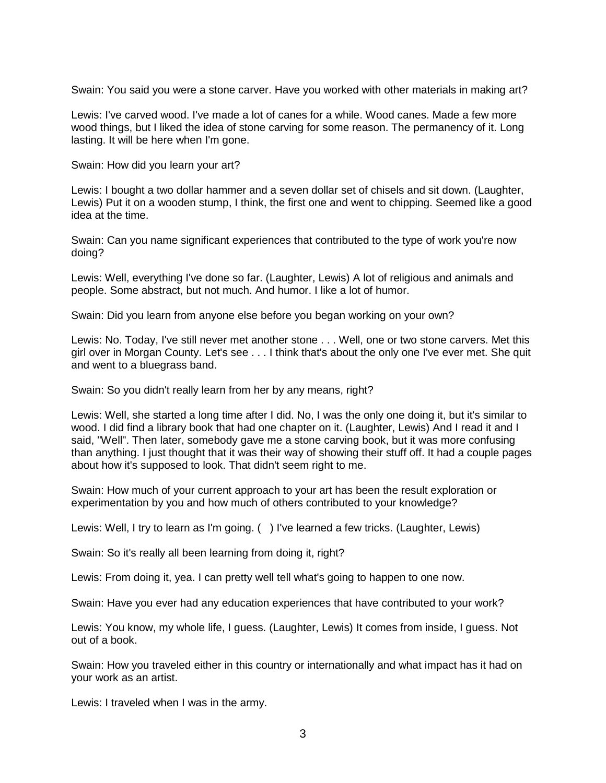Swain: You said you were a stone carver. Have you worked with other materials in making art?

Lewis: I've carved wood. I've made a lot of canes for a while. Wood canes. Made a few more wood things, but I liked the idea of stone carving for some reason. The permanency of it. Long lasting. It will be here when I'm gone.

Swain: How did you learn your art?

Lewis: I bought a two dollar hammer and a seven dollar set of chisels and sit down. (Laughter, Lewis) Put it on a wooden stump, I think, the first one and went to chipping. Seemed like a good idea at the time.

Swain: Can you name significant experiences that contributed to the type of work you're now doing?

Lewis: Well, everything I've done so far. (Laughter, Lewis) A lot of religious and animals and people. Some abstract, but not much. And humor. I like a lot of humor.

Swain: Did you learn from anyone else before you began working on your own?

Lewis: No. Today, I've still never met another stone . . . Well, one or two stone carvers. Met this girl over in Morgan County. Let's see . . . I think that's about the only one I've ever met. She quit and went to a bluegrass band.

Swain: So you didn't really learn from her by any means, right?

Lewis: Well, she started a long time after I did. No, I was the only one doing it, but it's similar to wood. I did find a library book that had one chapter on it. (Laughter, Lewis) And I read it and I said, "Well". Then later, somebody gave me a stone carving book, but it was more confusing than anything. I just thought that it was their way of showing their stuff off. It had a couple pages about how it's supposed to look. That didn't seem right to me.

Swain: How much of your current approach to your art has been the result exploration or experimentation by you and how much of others contributed to your knowledge?

Lewis: Well, I try to learn as I'm going. ( ) I've learned a few tricks. (Laughter, Lewis)

Swain: So it's really all been learning from doing it, right?

Lewis: From doing it, yea. I can pretty well tell what's going to happen to one now.

Swain: Have you ever had any education experiences that have contributed to your work?

Lewis: You know, my whole life, I guess. (Laughter, Lewis) It comes from inside, I guess. Not out of a book.

Swain: How you traveled either in this country or internationally and what impact has it had on your work as an artist.

Lewis: I traveled when I was in the army.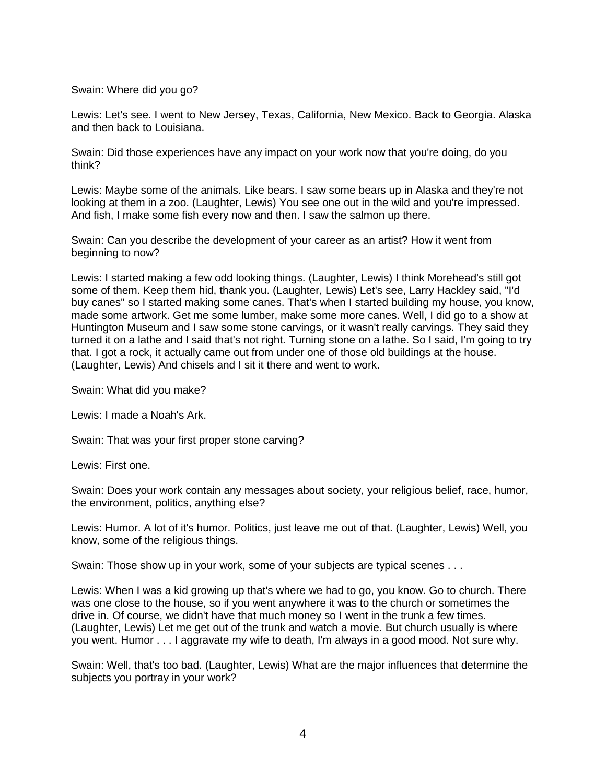Swain: Where did you go?

Lewis: Let's see. I went to New Jersey, Texas, California, New Mexico. Back to Georgia. Alaska and then back to Louisiana.

Swain: Did those experiences have any impact on your work now that you're doing, do you think?

Lewis: Maybe some of the animals. Like bears. I saw some bears up in Alaska and they're not looking at them in a zoo. (Laughter, Lewis) You see one out in the wild and you're impressed. And fish, I make some fish every now and then. I saw the salmon up there.

Swain: Can you describe the development of your career as an artist? How it went from beginning to now?

Lewis: I started making a few odd looking things. (Laughter, Lewis) I think Morehead's still got some of them. Keep them hid, thank you. (Laughter, Lewis) Let's see, Larry Hackley said, "I'd buy canes" so I started making some canes. That's when I started building my house, you know, made some artwork. Get me some lumber, make some more canes. Well, I did go to a show at Huntington Museum and I saw some stone carvings, or it wasn't really carvings. They said they turned it on a lathe and I said that's not right. Turning stone on a lathe. So I said, I'm going to try that. I got a rock, it actually came out from under one of those old buildings at the house. (Laughter, Lewis) And chisels and I sit it there and went to work.

Swain: What did you make?

Lewis: I made a Noah's Ark.

Swain: That was your first proper stone carving?

Lewis: First one.

Swain: Does your work contain any messages about society, your religious belief, race, humor, the environment, politics, anything else?

Lewis: Humor. A lot of it's humor. Politics, just leave me out of that. (Laughter, Lewis) Well, you know, some of the religious things.

Swain: Those show up in your work, some of your subjects are typical scenes . . .

Lewis: When I was a kid growing up that's where we had to go, you know. Go to church. There was one close to the house, so if you went anywhere it was to the church or sometimes the drive in. Of course, we didn't have that much money so I went in the trunk a few times. (Laughter, Lewis) Let me get out of the trunk and watch a movie. But church usually is where you went. Humor . . . I aggravate my wife to death, I'm always in a good mood. Not sure why.

Swain: Well, that's too bad. (Laughter, Lewis) What are the major influences that determine the subjects you portray in your work?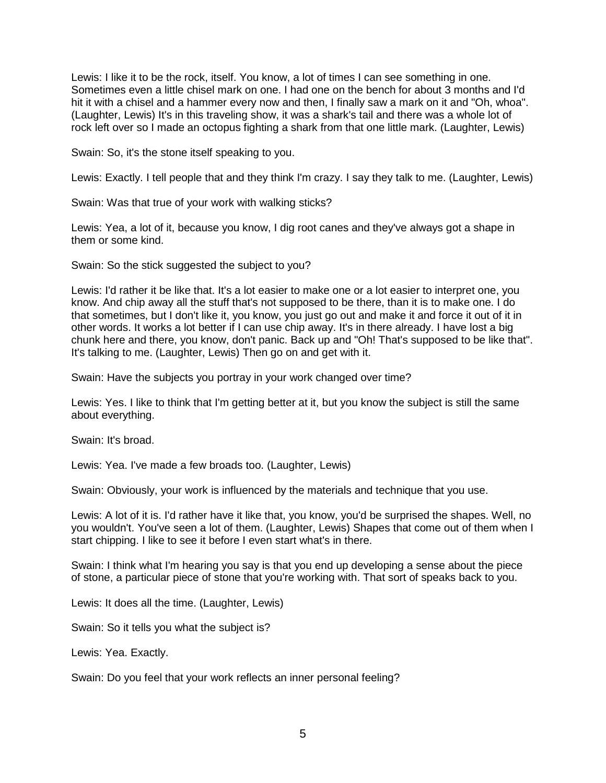Lewis: I like it to be the rock, itself. You know, a lot of times I can see something in one. Sometimes even a little chisel mark on one. I had one on the bench for about 3 months and I'd hit it with a chisel and a hammer every now and then, I finally saw a mark on it and "Oh, whoa". (Laughter, Lewis) It's in this traveling show, it was a shark's tail and there was a whole lot of rock left over so I made an octopus fighting a shark from that one little mark. (Laughter, Lewis)

Swain: So, it's the stone itself speaking to you.

Lewis: Exactly. I tell people that and they think I'm crazy. I say they talk to me. (Laughter, Lewis)

Swain: Was that true of your work with walking sticks?

Lewis: Yea, a lot of it, because you know, I dig root canes and they've always got a shape in them or some kind.

Swain: So the stick suggested the subject to you?

Lewis: I'd rather it be like that. It's a lot easier to make one or a lot easier to interpret one, you know. And chip away all the stuff that's not supposed to be there, than it is to make one. I do that sometimes, but I don't like it, you know, you just go out and make it and force it out of it in other words. It works a lot better if I can use chip away. It's in there already. I have lost a big chunk here and there, you know, don't panic. Back up and "Oh! That's supposed to be like that". It's talking to me. (Laughter, Lewis) Then go on and get with it.

Swain: Have the subjects you portray in your work changed over time?

Lewis: Yes. I like to think that I'm getting better at it, but you know the subject is still the same about everything.

Swain: It's broad.

Lewis: Yea. I've made a few broads too. (Laughter, Lewis)

Swain: Obviously, your work is influenced by the materials and technique that you use.

Lewis: A lot of it is. I'd rather have it like that, you know, you'd be surprised the shapes. Well, no you wouldn't. You've seen a lot of them. (Laughter, Lewis) Shapes that come out of them when I start chipping. I like to see it before I even start what's in there.

Swain: I think what I'm hearing you say is that you end up developing a sense about the piece of stone, a particular piece of stone that you're working with. That sort of speaks back to you.

Lewis: It does all the time. (Laughter, Lewis)

Swain: So it tells you what the subject is?

Lewis: Yea. Exactly.

Swain: Do you feel that your work reflects an inner personal feeling?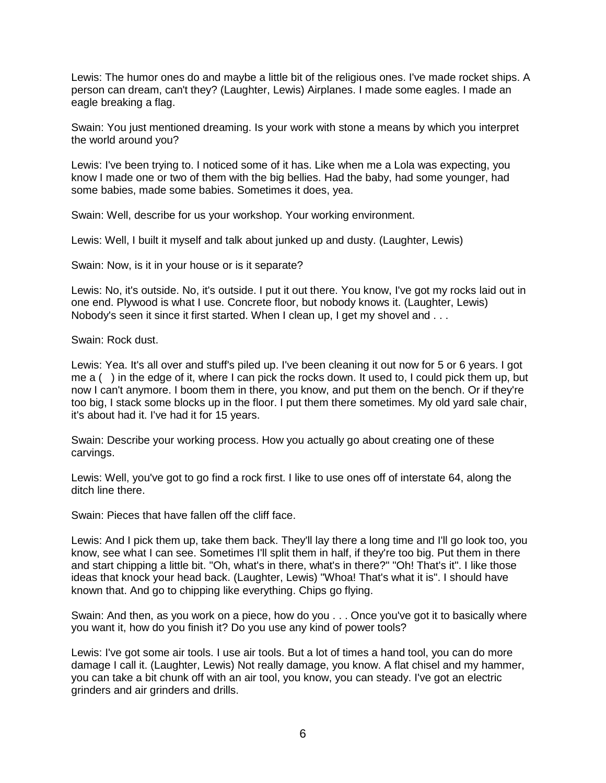Lewis: The humor ones do and maybe a little bit of the religious ones. I've made rocket ships. A person can dream, can't they? (Laughter, Lewis) Airplanes. I made some eagles. I made an eagle breaking a flag.

Swain: You just mentioned dreaming. Is your work with stone a means by which you interpret the world around you?

Lewis: I've been trying to. I noticed some of it has. Like when me a Lola was expecting, you know I made one or two of them with the big bellies. Had the baby, had some younger, had some babies, made some babies. Sometimes it does, yea.

Swain: Well, describe for us your workshop. Your working environment.

Lewis: Well, I built it myself and talk about junked up and dusty. (Laughter, Lewis)

Swain: Now, is it in your house or is it separate?

Lewis: No, it's outside. No, it's outside. I put it out there. You know, I've got my rocks laid out in one end. Plywood is what I use. Concrete floor, but nobody knows it. (Laughter, Lewis) Nobody's seen it since it first started. When I clean up, I get my shovel and . . .

Swain: Rock dust.

Lewis: Yea. It's all over and stuff's piled up. I've been cleaning it out now for 5 or 6 years. I got me a ( ) in the edge of it, where I can pick the rocks down. It used to, I could pick them up, but now I can't anymore. I boom them in there, you know, and put them on the bench. Or if they're too big, I stack some blocks up in the floor. I put them there sometimes. My old yard sale chair, it's about had it. I've had it for 15 years.

Swain: Describe your working process. How you actually go about creating one of these carvings.

Lewis: Well, you've got to go find a rock first. I like to use ones off of interstate 64, along the ditch line there.

Swain: Pieces that have fallen off the cliff face.

Lewis: And I pick them up, take them back. They'll lay there a long time and I'll go look too, you know, see what I can see. Sometimes I'll split them in half, if they're too big. Put them in there and start chipping a little bit. "Oh, what's in there, what's in there?" "Oh! That's it". I like those ideas that knock your head back. (Laughter, Lewis) "Whoa! That's what it is". I should have known that. And go to chipping like everything. Chips go flying.

Swain: And then, as you work on a piece, how do you . . . Once you've got it to basically where you want it, how do you finish it? Do you use any kind of power tools?

Lewis: I've got some air tools. I use air tools. But a lot of times a hand tool, you can do more damage I call it. (Laughter, Lewis) Not really damage, you know. A flat chisel and my hammer, you can take a bit chunk off with an air tool, you know, you can steady. I've got an electric grinders and air grinders and drills.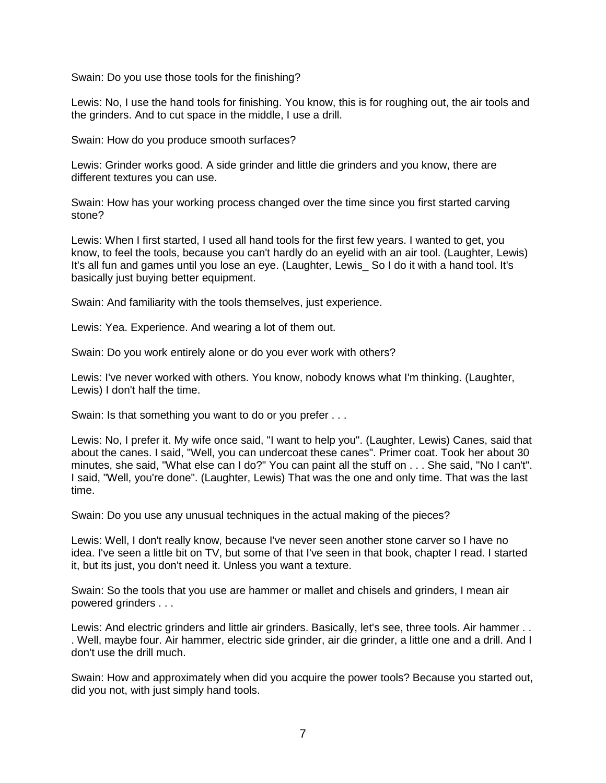Swain: Do you use those tools for the finishing?

Lewis: No, I use the hand tools for finishing. You know, this is for roughing out, the air tools and the grinders. And to cut space in the middle, I use a drill.

Swain: How do you produce smooth surfaces?

Lewis: Grinder works good. A side grinder and little die grinders and you know, there are different textures you can use.

Swain: How has your working process changed over the time since you first started carving stone?

Lewis: When I first started, I used all hand tools for the first few years. I wanted to get, you know, to feel the tools, because you can't hardly do an eyelid with an air tool. (Laughter, Lewis) It's all fun and games until you lose an eye. (Laughter, Lewis\_ So I do it with a hand tool. It's basically just buying better equipment.

Swain: And familiarity with the tools themselves, just experience.

Lewis: Yea. Experience. And wearing a lot of them out.

Swain: Do you work entirely alone or do you ever work with others?

Lewis: I've never worked with others. You know, nobody knows what I'm thinking. (Laughter, Lewis) I don't half the time.

Swain: Is that something you want to do or you prefer . . .

Lewis: No, I prefer it. My wife once said, "I want to help you". (Laughter, Lewis) Canes, said that about the canes. I said, "Well, you can undercoat these canes". Primer coat. Took her about 30 minutes, she said, "What else can I do?" You can paint all the stuff on . . . She said, "No I can't". I said, "Well, you're done". (Laughter, Lewis) That was the one and only time. That was the last time.

Swain: Do you use any unusual techniques in the actual making of the pieces?

Lewis: Well, I don't really know, because I've never seen another stone carver so I have no idea. I've seen a little bit on TV, but some of that I've seen in that book, chapter I read. I started it, but its just, you don't need it. Unless you want a texture.

Swain: So the tools that you use are hammer or mallet and chisels and grinders, I mean air powered grinders . . .

Lewis: And electric grinders and little air grinders. Basically, let's see, three tools. Air hammer . . . Well, maybe four. Air hammer, electric side grinder, air die grinder, a little one and a drill. And I don't use the drill much.

Swain: How and approximately when did you acquire the power tools? Because you started out, did you not, with just simply hand tools.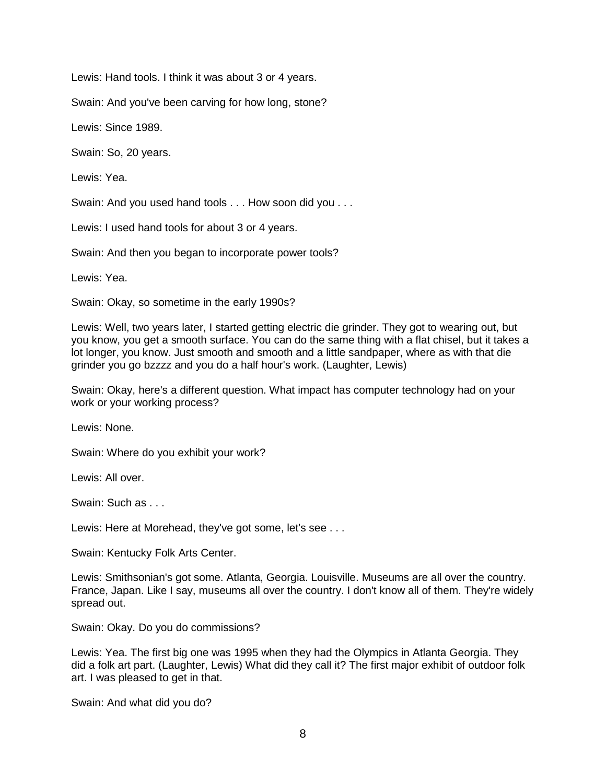Lewis: Hand tools. I think it was about 3 or 4 years.

Swain: And you've been carving for how long, stone?

Lewis: Since 1989.

Swain: So, 20 years.

Lewis: Yea.

Swain: And you used hand tools . . . How soon did you . . .

Lewis: I used hand tools for about 3 or 4 years.

Swain: And then you began to incorporate power tools?

Lewis: Yea.

Swain: Okay, so sometime in the early 1990s?

Lewis: Well, two years later, I started getting electric die grinder. They got to wearing out, but you know, you get a smooth surface. You can do the same thing with a flat chisel, but it takes a lot longer, you know. Just smooth and smooth and a little sandpaper, where as with that die grinder you go bzzzz and you do a half hour's work. (Laughter, Lewis)

Swain: Okay, here's a different question. What impact has computer technology had on your work or your working process?

Lewis: None.

Swain: Where do you exhibit your work?

Lewis: All over.

Swain: Such as . . .

Lewis: Here at Morehead, they've got some, let's see . . .

Swain: Kentucky Folk Arts Center.

Lewis: Smithsonian's got some. Atlanta, Georgia. Louisville. Museums are all over the country. France, Japan. Like I say, museums all over the country. I don't know all of them. They're widely spread out.

Swain: Okay. Do you do commissions?

Lewis: Yea. The first big one was 1995 when they had the Olympics in Atlanta Georgia. They did a folk art part. (Laughter, Lewis) What did they call it? The first major exhibit of outdoor folk art. I was pleased to get in that.

Swain: And what did you do?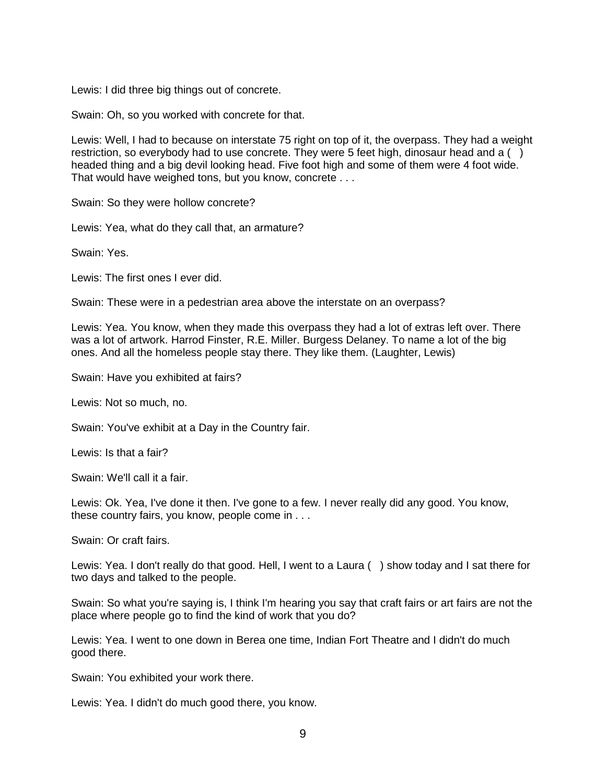Lewis: I did three big things out of concrete.

Swain: Oh, so you worked with concrete for that.

Lewis: Well, I had to because on interstate 75 right on top of it, the overpass. They had a weight restriction, so everybody had to use concrete. They were 5 feet high, dinosaur head and a  $( )$ headed thing and a big devil looking head. Five foot high and some of them were 4 foot wide. That would have weighed tons, but you know, concrete . . .

Swain: So they were hollow concrete?

Lewis: Yea, what do they call that, an armature?

Swain: Yes.

Lewis: The first ones I ever did.

Swain: These were in a pedestrian area above the interstate on an overpass?

Lewis: Yea. You know, when they made this overpass they had a lot of extras left over. There was a lot of artwork. Harrod Finster, R.E. Miller. Burgess Delaney. To name a lot of the big ones. And all the homeless people stay there. They like them. (Laughter, Lewis)

Swain: Have you exhibited at fairs?

Lewis: Not so much, no.

Swain: You've exhibit at a Day in the Country fair.

Lewis: Is that a fair?

Swain: We'll call it a fair.

Lewis: Ok. Yea, I've done it then. I've gone to a few. I never really did any good. You know, these country fairs, you know, people come in . . .

Swain: Or craft fairs.

Lewis: Yea. I don't really do that good. Hell, I went to a Laura () show today and I sat there for two days and talked to the people.

Swain: So what you're saying is, I think I'm hearing you say that craft fairs or art fairs are not the place where people go to find the kind of work that you do?

Lewis: Yea. I went to one down in Berea one time, Indian Fort Theatre and I didn't do much good there.

Swain: You exhibited your work there.

Lewis: Yea. I didn't do much good there, you know.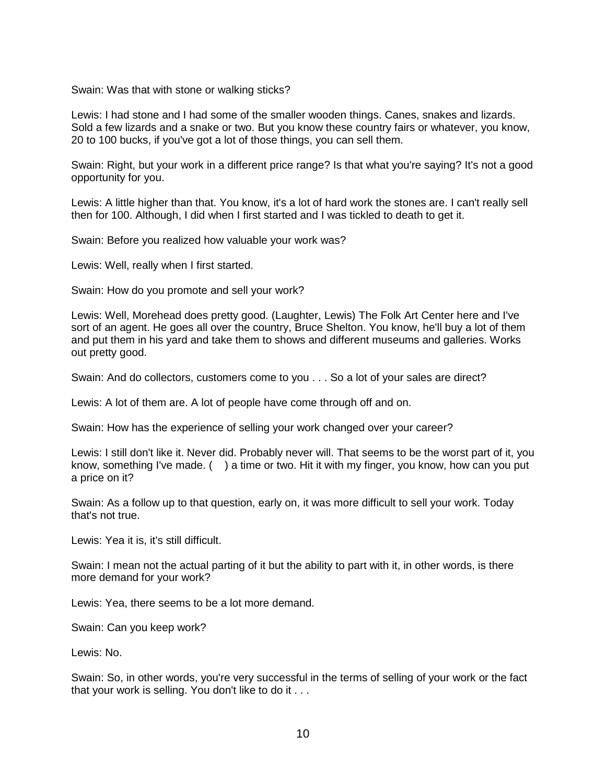Swain: Was that with stone or walking sticks?

Lewis: I had stone and I had some of the smaller wooden things. Canes, snakes and lizards. Sold a few lizards and a snake or two. But you know these country fairs or whatever, you know, 20 to 100 bucks, if you've got a lot of those things, you can sell them.

Swain: Right, but your work in a different price range? Is that what you're saying? It's not a good opportunity for you.

Lewis: A little higher than that. You know, it's a lot of hard work the stones are. I can't really sell then for 100. Although, I did when I first started and I was tickled to death to get it.

Swain: Before you realized how valuable your work was?

Lewis: Well, really when I first started.

Swain: How do you promote and sell your work?

Lewis: Well, Morehead does pretty good. (Laughter, Lewis) The Folk Art Center here and I've sort of an agent. He goes all over the country, Bruce Shelton. You know, he'll buy a lot of them and put them in his yard and take them to shows and different museums and galleries. Works out pretty good.

Swain: And do collectors, customers come to you . . . So a lot of your sales are direct?

Lewis: A lot of them are. A lot of people have come through off and on.

Swain: How has the experience of selling your work changed over your career?

Lewis: I still don't like it. Never did. Probably never will. That seems to be the worst part of it, you know, something I've made. ( ) a time or two. Hit it with my finger, you know, how can you put a price on it?

Swain: As a follow up to that question, early on, it was more difficult to sell your work. Today that's not true.

Lewis: Yea it is, it's still difficult.

Swain: I mean not the actual parting of it but the ability to part with it, in other words, is there more demand for your work?

Lewis: Yea, there seems to be a lot more demand.

Swain: Can you keep work?

Lewis: No.

Swain: So, in other words, you're very successful in the terms of selling of your work or the fact that your work is selling. You don't like to do it . . .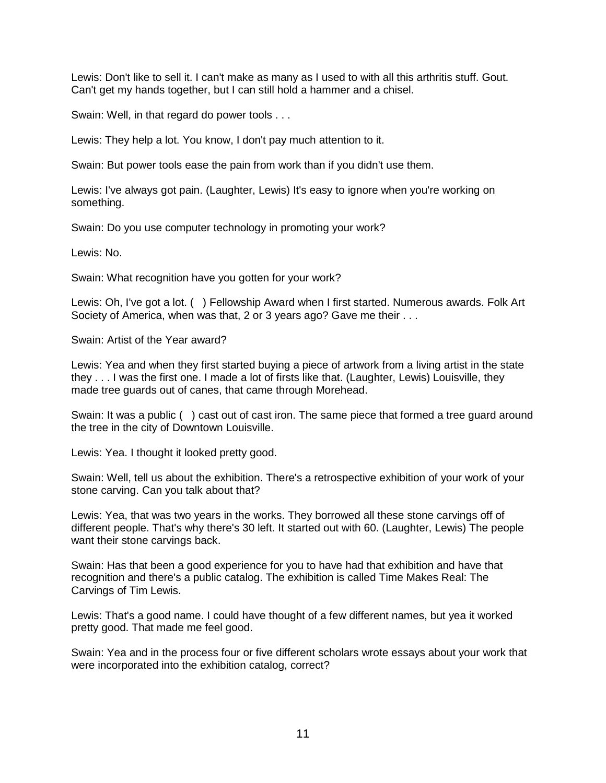Lewis: Don't like to sell it. I can't make as many as I used to with all this arthritis stuff. Gout. Can't get my hands together, but I can still hold a hammer and a chisel.

Swain: Well, in that regard do power tools . . .

Lewis: They help a lot. You know, I don't pay much attention to it.

Swain: But power tools ease the pain from work than if you didn't use them.

Lewis: I've always got pain. (Laughter, Lewis) It's easy to ignore when you're working on something.

Swain: Do you use computer technology in promoting your work?

Lewis: No.

Swain: What recognition have you gotten for your work?

Lewis: Oh, I've got a lot. ( ) Fellowship Award when I first started. Numerous awards. Folk Art Society of America, when was that, 2 or 3 years ago? Gave me their . . .

Swain: Artist of the Year award?

Lewis: Yea and when they first started buying a piece of artwork from a living artist in the state they . . . I was the first one. I made a lot of firsts like that. (Laughter, Lewis) Louisville, they made tree guards out of canes, that came through Morehead.

Swain: It was a public ( ) cast out of cast iron. The same piece that formed a tree guard around the tree in the city of Downtown Louisville.

Lewis: Yea. I thought it looked pretty good.

Swain: Well, tell us about the exhibition. There's a retrospective exhibition of your work of your stone carving. Can you talk about that?

Lewis: Yea, that was two years in the works. They borrowed all these stone carvings off of different people. That's why there's 30 left. It started out with 60. (Laughter, Lewis) The people want their stone carvings back.

Swain: Has that been a good experience for you to have had that exhibition and have that recognition and there's a public catalog. The exhibition is called Time Makes Real: The Carvings of Tim Lewis.

Lewis: That's a good name. I could have thought of a few different names, but yea it worked pretty good. That made me feel good.

Swain: Yea and in the process four or five different scholars wrote essays about your work that were incorporated into the exhibition catalog, correct?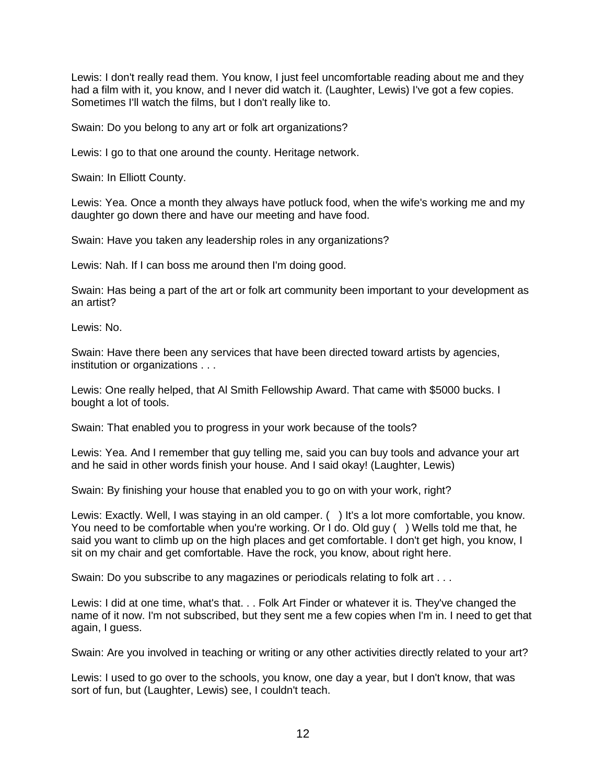Lewis: I don't really read them. You know, I just feel uncomfortable reading about me and they had a film with it, you know, and I never did watch it. (Laughter, Lewis) I've got a few copies. Sometimes I'll watch the films, but I don't really like to.

Swain: Do you belong to any art or folk art organizations?

Lewis: I go to that one around the county. Heritage network.

Swain: In Elliott County.

Lewis: Yea. Once a month they always have potluck food, when the wife's working me and my daughter go down there and have our meeting and have food.

Swain: Have you taken any leadership roles in any organizations?

Lewis: Nah. If I can boss me around then I'm doing good.

Swain: Has being a part of the art or folk art community been important to your development as an artist?

Lewis: No.

Swain: Have there been any services that have been directed toward artists by agencies, institution or organizations . . .

Lewis: One really helped, that Al Smith Fellowship Award. That came with \$5000 bucks. I bought a lot of tools.

Swain: That enabled you to progress in your work because of the tools?

Lewis: Yea. And I remember that guy telling me, said you can buy tools and advance your art and he said in other words finish your house. And I said okay! (Laughter, Lewis)

Swain: By finishing your house that enabled you to go on with your work, right?

Lewis: Exactly. Well, I was staying in an old camper. () It's a lot more comfortable, you know. You need to be comfortable when you're working. Or I do. Old guy () Wells told me that, he said you want to climb up on the high places and get comfortable. I don't get high, you know, I sit on my chair and get comfortable. Have the rock, you know, about right here.

Swain: Do you subscribe to any magazines or periodicals relating to folk art . . .

Lewis: I did at one time, what's that. . . Folk Art Finder or whatever it is. They've changed the name of it now. I'm not subscribed, but they sent me a few copies when I'm in. I need to get that again, I guess.

Swain: Are you involved in teaching or writing or any other activities directly related to your art?

Lewis: I used to go over to the schools, you know, one day a year, but I don't know, that was sort of fun, but (Laughter, Lewis) see, I couldn't teach.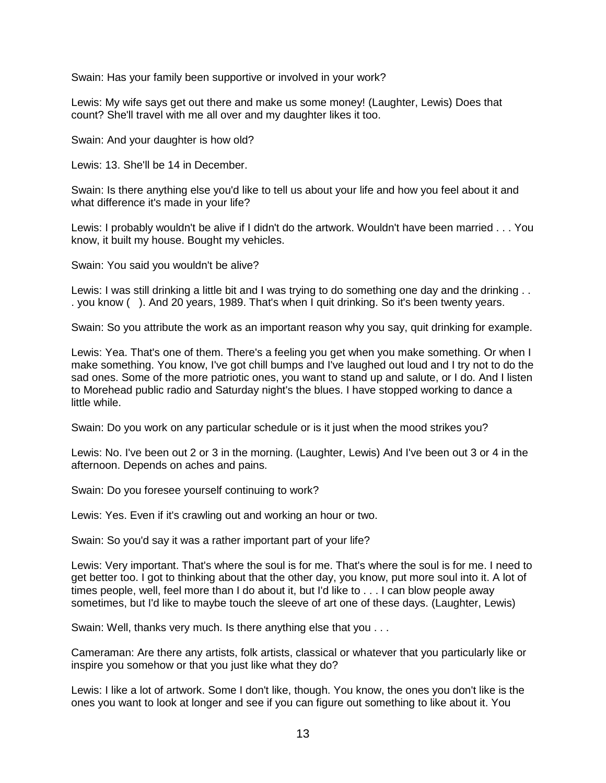Swain: Has your family been supportive or involved in your work?

Lewis: My wife says get out there and make us some money! (Laughter, Lewis) Does that count? She'll travel with me all over and my daughter likes it too.

Swain: And your daughter is how old?

Lewis: 13. She'll be 14 in December.

Swain: Is there anything else you'd like to tell us about your life and how you feel about it and what difference it's made in your life?

Lewis: I probably wouldn't be alive if I didn't do the artwork. Wouldn't have been married . . . You know, it built my house. Bought my vehicles.

Swain: You said you wouldn't be alive?

Lewis: I was still drinking a little bit and I was trying to do something one day and the drinking . . . you know ( ). And 20 years, 1989. That's when I quit drinking. So it's been twenty years.

Swain: So you attribute the work as an important reason why you say, quit drinking for example.

Lewis: Yea. That's one of them. There's a feeling you get when you make something. Or when I make something. You know, I've got chill bumps and I've laughed out loud and I try not to do the sad ones. Some of the more patriotic ones, you want to stand up and salute, or I do. And I listen to Morehead public radio and Saturday night's the blues. I have stopped working to dance a little while.

Swain: Do you work on any particular schedule or is it just when the mood strikes you?

Lewis: No. I've been out 2 or 3 in the morning. (Laughter, Lewis) And I've been out 3 or 4 in the afternoon. Depends on aches and pains.

Swain: Do you foresee yourself continuing to work?

Lewis: Yes. Even if it's crawling out and working an hour or two.

Swain: So you'd say it was a rather important part of your life?

Lewis: Very important. That's where the soul is for me. That's where the soul is for me. I need to get better too. I got to thinking about that the other day, you know, put more soul into it. A lot of times people, well, feel more than I do about it, but I'd like to . . . I can blow people away sometimes, but I'd like to maybe touch the sleeve of art one of these days. (Laughter, Lewis)

Swain: Well, thanks very much. Is there anything else that you . . .

Cameraman: Are there any artists, folk artists, classical or whatever that you particularly like or inspire you somehow or that you just like what they do?

Lewis: I like a lot of artwork. Some I don't like, though. You know, the ones you don't like is the ones you want to look at longer and see if you can figure out something to like about it. You